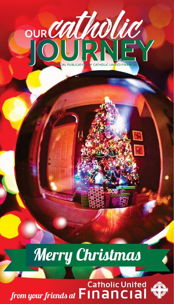# LIC UNITED FINANCIA OUR CONTROLIC **JOURNEY JOURNEY**

# **Merry Christmas**

# from your friends at  $\blacksquare$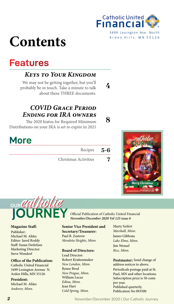

## **Contents**

## **Features**

## *Keys to Your Kingdom*

We may not be getting together, but you'll probably be in touch. Take a minute to talk about these THREE documents.

## *COVID Grace Period Ending for IRA owners*

The 2020 hiatus for Required Minimum Distributions on your IRA is set to expire in 2021

| <b>More</b> |                      |  |
|-------------|----------------------|--|
|             | Recipes 5-6          |  |
|             | Christmas Activities |  |





#### **Magazine Staff:**

Publisher: Michael M. Ahles Editor: Jared Roddy Staff: Susan Detlefsen Marketing Director: Steve Wendorf

#### **Office of the Publication:**

Catholic United Financial 3499 Lexington Avenue N. Arden Hills, MN 55126

#### **President:**

Michael M. Ahles *Andover, Minn.*

#### Official Publication of Catholic United Financial *November/December 2020 Vol 125 issue 6*

**4**

**8**

#### **Senior Vice President and Secretary/Treasurer:**  Paul B. Zastrow *Mendota Heights, Minn.*

#### **Board of Directors:**

Lead Director: Robert Krattenmaker *New London, Minn.* Renee Brod *New Prague, Minn.* William Lucas *Edina, Minn.* Jean Hart *Cold Spring, Minn.*

Marty Seifert *Marshall, Minn.* James Gibbons *Lake Elmo, Minn*. Jim Wensel *Rice, Minn.*

**Postmaster:** Send change of address notices to above.

Periodicals postage paid at St. Paul, MN and other locations. Subscription price is 50 cents per year. Published quarterly. Publication No 093500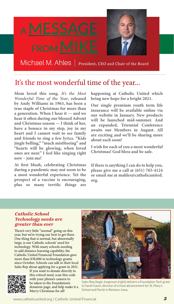



Michael M. Ahles | President, CEO and Chair of the Board

## It's the most wonderful time of the year...

**Mom loved this song.** *It's the Most Wonderful Time of the Year***, released by Andy Williams in 1963, has been a true staple of Christmas for more than a generation. When I hear it — and we hear it often during our blessed Advent and Christmas season — I think of her, have a bounce in my step, joy in my heart and I cannot wait to see family and friends to sing a few lyrics. "Kids jingle belling," "much mistltoeing" and "hearts will be glowing, when loved ones are near." I feel like singing right now – join me!**

**At first blush, celebrating Christmas during a pandemic may not seem to be a most wonderful experience. Yet the prospect of a vaccine is encouraging, plus so many terrific things are** 

**happening at Catholic United which bring new hope for a bright 2021.** 

**Our single premium youth term life insurance will be available online via our website in January. New products will be launched mid-summer. And an expanded, Triennial Conference awaits our Members in August. All are exciting and we'll be sharing more about each soon!** 

**I wish for each of you a most wonderful Christmas! God bless and be safe.**

**If there is anything I can do to help you, please give me a call at (651) 765-4124 or email me at mahles@catholicunited. org.**

### *Catholic School Technology needs are greater than ever*

There's very little "normal" going on this year, but we're trying our best to get there. One thing that is normal, but abnormally large, is our Catholic schools' need for technology. With many schools needing to add distance learning capability, the Catholic United Financial Foundation gave more than \$38,000 in technology grants since October. Schools can talk to their local Sales Rep about applying for a grant in 2021.



If you want to donate directly to this critical need, scan this code with your phone's camera to be taken to the Foundation's donation page, and help make it a Merry Christmas for all!



Sales Rep Angie Jorgensen (right) delivers a Foundation Tech grant to Sarah Gavin, director of school advancement for St. Mary's School and Parish in Remsen, Iowa.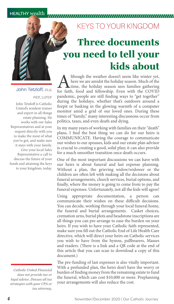**HEALTHY** wealth ////////////////////////////////////////////////////////////////////////

## KEYS TO YOUR KINGDOM

## Three documents you need to tell your kids about

Although the weather doesn't seem like winter yet, here we are amidst the holiday season. Much of the time, the holiday season sees families gathering for faith, food and fellowship. Even with the COVID here we are amidst the holiday season. Much of the time, the holiday season sees families gathering pandemic, people are still finding ways to "get together" during the holidays, whether that's outdoors around a firepit or basking in the glowing warmth of a computer monitor amid a grid of our loved ones. During these times of "family," many interesting discussions occur from politics, taxes, and even death and dying.

In my many years of working with families on their "death" plans, I find the best thing we can do for our heirs is COMMUNICATE. Having the courage to communicate our wishes to our spouses, kids and our estate plan advisor is crucial to creating a good, solid plan; it can also provide for a much smoother transition once death occurs.

One of the most important discussions we can have with our heirs is about funeral and last expense planning. Without a plan, the grieving widow/widower or the children are often left with making all the decisions about funeral arrangements, church services, burial options, and finally, where the money is going to come from to pay the funeral expenses. Unfortunately, not all the kids will agree!

Using appropriate documentation, a person can communicate their wishes on these difficult decisions. You can decide, working through your local funeral home, the funeral and burial arrangements. Casket choices, cremation urns, burial plots and headstone inscriptions are all things you can pre-arrange to ease the burden on your heirs. If you wish to have your Catholic faith represented, make sure you fill out the Catholic End of Life Health Care directive, which will direct your heirs on Catholic services you wish to have from the hymns, pallbearers, Masses and readers. (There is a link and a QR code at the end of this article that you can scan to download a copy of this document.)

The pre-funding of last expenses is also vitally important. With a prefunded plan, the heirs don't have the worry or burden of finding money from the remaining estate to fund the funeral, which can cost \$10,000 or more. Preplanning your arrangements will also reduce the cost.

John Tetzloff, CLU, FICF, LUTCF

John Tetzloff is Catholic United's resident trainer and expert in all things estate planning. He works with our Sales Representatives and at your request directly with you to make the most of what you've got, and make sure it stays with your family. Give your local Sales Representative a call to discuss the future of your funds and attaining the keys to your kingdom, today.

*Catholic United Financial does not provide tax or legal advice. Discuss all tax strategies with your CPA or tax attorney.*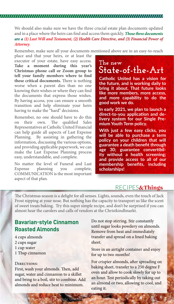### //////////////////////////////////////////////////////////////////////// ////////////////////////////////////////////////////////////////////////

We should also make sure we have the three crucial estate plan documents updated and in a place where the heirs can find and access them quickly. *Those three documents are a (1) Last Will and Testament, (2) Health Care Directive, and (3) Financial Power of Attorney.*

Remember, make sure all your documents mentioned above are in an easy-to-reach

place and that your heirs, or at least the executor of your estate, have easy access. **Take a moment during this year's Christmas phone call or Zoom group to tell your family members where to find these critical documents.** There is nothing worse when a parent dies than no one knowing their wishes or where they can find the documents that express those wishes. By having access, you can ensure a smooth transition and help eliminate your heirs having to make the "hard" decisions.

Remember, no one should have to do this on their own. The qualified Sales Representatives at Catholic United Financial can help guide all aspects of Last Expense Planning. By assisting in gathering the information, discussing the various options, and providing applicable paperwork, we can make the Last Expense Planning process easy, understandable, and complete.

No matter the level of Funeral and Last Expense planning you complete, COMMUNICATION is the most important aspect of that plan.

## **The new State-of-the-Art**

**Catholic United has a vision for the future, and is working daily to bring it about. That future looks like more members, more access, and more capability to do the good work we do.** 

**In early 2021, we plan to launch a direct-to-you application and delivery system for our Single Premium Youth Term policy.** 

**With just a few easy clicks, you will be able to purchase a term policy on your children that will guarantee a death benefit through age 30; guarantee convertibility without a health screening; and provide access to all of our membership benefits, including scholarships!**

## RECIPES&Things

The Christmas season is a delight for all senses. Lights, sounds, even the touch of Jack Frost nipping at your nose. But nothing has the capacity to transport us like the scent of sweet treats baking. Try this super simple recipe, and don't be surprised if you can almost hear the carolers and calls of vendors at the Christkindlmarkt.

## **Bavarian-style Cinnamon Roasted Almonds**

4 cups almonds 2 cups sugar 1 cup water 1 Tbsp cinnamon

#### DIRECTIONS:

First, wash your almonds. Then, add sugar, water and cinnamon to a skillet and bring to a boil, stir to combine. Add almonds and reduce heat to minimum.

Do not stop stirring. Stir constantly until sugar looks powdery on almonds. Remove from heat and immediately transfer and spread on a lined baking sheet.

Store in an airtight container and enjoy for up to two months!

For crispier almonds, after spreading on baking sheet, transfer to a 250 degree F oven and allow to cook slowly for up to an hour. Test periodically by taking out an almond or two, allowing to cool, and eating it.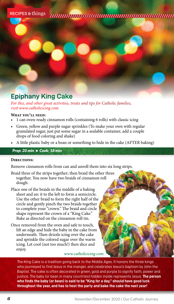**RECIPES &** things ////////////////////////////////////////////////////////////////////////

## **Epiphany King Cake**

*For this, and other great activities, treats and tips for Catholic families, visit www.catholicicing.com.*

### **What you'll need:**

- 1 can oven-ready cinnamon rolls (containing 6 rolls) with classic icing
- Green, yellow and purple sugar sprinkles (To make your own with regular granulated sugar, just put some sugar in a sealable container, add a couple drops of food coloring and shake)
- A little plastic baby or a bean or something to hide in the cake (AFTER baking)

## *Prep: 20 min • Cook: 18 min*

#### **Directions:**

Remove cinnamon rolls from can and unroll them into six long strips.

- Braid three of the strips together; then braid the other three together. You now have two braids of cinnamon roll dough.
- Place one of the braids in the middle of a baking sheet and arc it to the left to form a semicircle. Use the other braid to form the right half of the circle and gently pinch the two braids together to complete your "crown." The braid and circle shape represent the crown of a "King Cake." Bake as directed on the cinnamon roll tin.
- Once removed from the oven and safe to touch, lift an edge and hide the baby in the cake from underneath. Then drizzle icing over the cake and sprinkle the colored sugar over the warm icing. Let cool (not too much!) then slice and enjoy.

#### *www.catholicicing.com.*

The King Cake is a tradition going back to the Middle Ages. It honors the three kings who journeyed to find Jesus in the manger, and celebrates Jesus's baptism by John the Baptist. The cake is often decorated in green, gold and purple to signify faith, power and justice. The baby (or bean in many countries) hidden inside represents Jesus. **The person who finds the baby (or bean) is said to be "King for a day," should have good luck throughout the year, and has to host the party and bake the cake the next year!**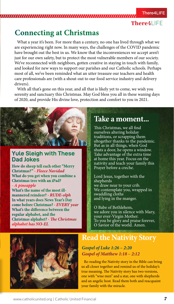//////////////////////////////////////////////////////////////////////// **There4LIFE**////////////////////////////////////////////////////////////////////////

### There4 IFF

## **Connecting at Christmas**

What a year it's been. For more than a century, no one has lived through what we are experiencing right now. In many ways, the challenges of the COVID pandemic have brought out the best in us. We know that the inconveniences we accept aren't just for our own safety, but to protect the most vulnerable members of our society. We've reconnected with neighbors, gotten creative in staying in touch with family, and looked for new ways to support our parishes and our Catholic schools. Perhaps most of all, we've been reminded what an utter treasure our teachers and health care professionals are (with a shout-out to our food service industry and delivery drivers).

With all that's gone on this year, and all that is likely yet to come, we wish you serenity and sanctuary this Christmas. May God bless you all in these waning days of 2020, and provide His divine love, protection and comfort to you in 2021.

## **Yule Sleigh with These Dad Jokes**

**How do sheep tell each other "Merry Christmas?"** *- Fleece Navidad* **What do you get when you combine a Christmas tree with an iPad?**  *- A pineapple*

**What's the name of the most illmannered reindeer? -** *RUDE-olph* **In what years does News Year's Day come before Christmas? -** *EVERY year* **What's the difference between the regular alphabet, and the Christmas alphabet? -** *The Christmas alphabet has NO-EL*

## **Take a moment...**

This Christmas, we all find ourselves altering holiday traditions, or scrapping them altogether thanks to the pandemic. But as in all things, when God shuts a door, he opens a window. Take advantage of the extra time at home this year. Focus on the nativity and teach your family this Prayer before a creche.

Lord Jesus, together with the shepherds we draw near to your crib. We contemplate you, wrapped in swaddling cloths and lying in the manger.

O Babe of Bethlehem, we adore you in silence with Mary, your ever-Virgin Mother. To you be glory and praise forever, O Savior of the world. Amen.



## **Read the Nativity Story**

## *Gospel of Luke 1:26 – 2:20 Gospel of Matthew 1:18 – 2:12*

Re-reading the Nativity story in the Bible can bring us all closer together and remind us of the holiday's true meaning. The Nativity story has two versions, one with "wise men" and a star, one with shepherds and an angelic host. Read them both and reacquaint your family with the miracle.